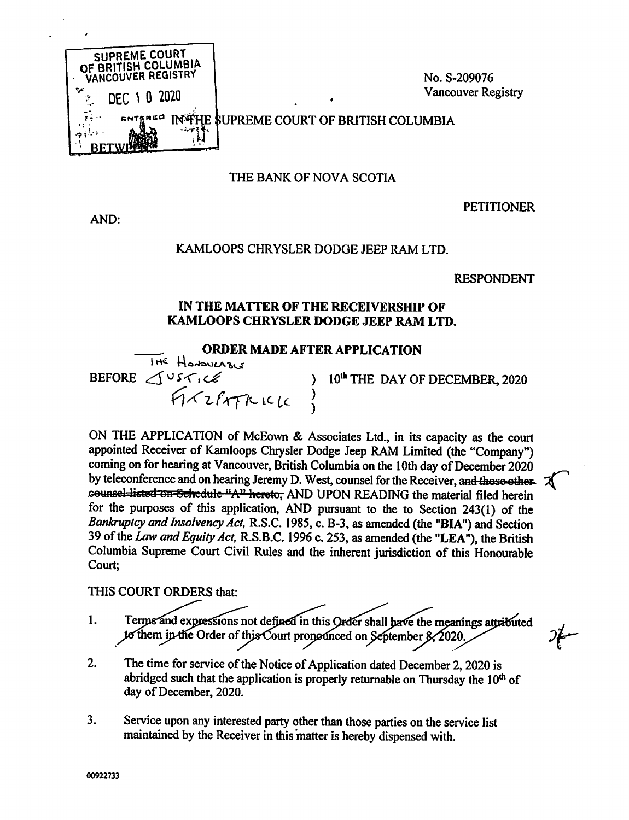

# THE BANK OF NOVA SCOTIA

AND:

### **PETITIONER**

## KAMLOOPS CHRYSLER DODGE JEEP RAM LTD.

#### **RESPONDENT**

## IN THE MATTER OF THE RECEIVERSHIP OF KAMLOOPS CHRYSLER DODGE JEEP RAM LTD.

### **ORDER MADE AFTER APPLICATION**

THE HOMOVERBLE BEFORE JUSTICE )

10<sup>th</sup> THE DAY OF DECEMBER, 2020

ON THE APPLICATION of McEown & Associates Ltd., in its capacity as the court appointed Receiver of Kamloops Chrysler Dodge Jeep RAM Limited (the "Company") coming on for hearing at Vancouver, British Columbia on the 10th day of December 2020 by teleconference and on hearing Jeremy D. West, counsel for the Receiver, and these othercounsel-listed on Schedule "A" hereto, AND UPON READING the material filed herein for the purposes of this application, AND pursuant to the to Section 243(1) of the Bankruptcy and Insolvency Act, R.S.C. 1985, c. B-3, as amended (the "BIA") and Section 39 of the Law and Equity Act, R.S.B.C. 1996 c. 253, as amended (the "LEA"), the British Columbia Supreme Court Civil Rules and the inherent jurisdiction of this Honourable Court;

THIS COURT ORDERS that:

- Terms and expressions not defined in this Order shall have the meanings attributed  $1.$ to them in the Order of this Court pronounced on September 8, 2020.
- $2.$ The time for service of the Notice of Application dated December 2, 2020 is abridged such that the application is properly returnable on Thursday the 10<sup>th</sup> of day of December, 2020.
- $3<sub>1</sub>$ Service upon any interested party other than those parties on the service list maintained by the Receiver in this matter is hereby dispensed with.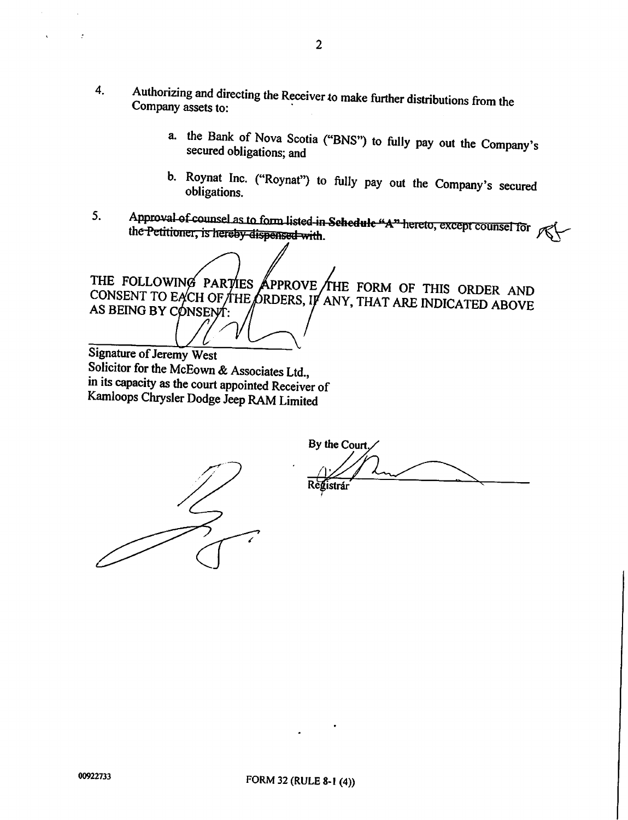- 4. Authorizing and directing the Receiver to make further distributions from the Company assets to:
	- a. the Bank of Nova Scotia ("BNS") to fully pay out the Company's secured obligations; and
	- b. Roynat Inc. ("Roynat") to fully pay out the Company's secured obligations.
- 5. Approval of counsel as to form listed in Schedule "A" hereto, except counsel for the Petitioner, is hereby dispensed with.

THE FOLLOWIN CONSENT TO E AS BEING BY CONSENT: APPROVE /THE FORM OF THIS ORDER AND<br>RDERS, IF ANY, THAT ARE INDICATED ABOVE

Signature of Jeremy West<br>Solicitor for the McEown & Associates Ltd., in its capacity as the court appointed Receiver of Kamloops Chrysler Dodge Jeep RAM Limited

By the Court. Registrár



 $\cdot$